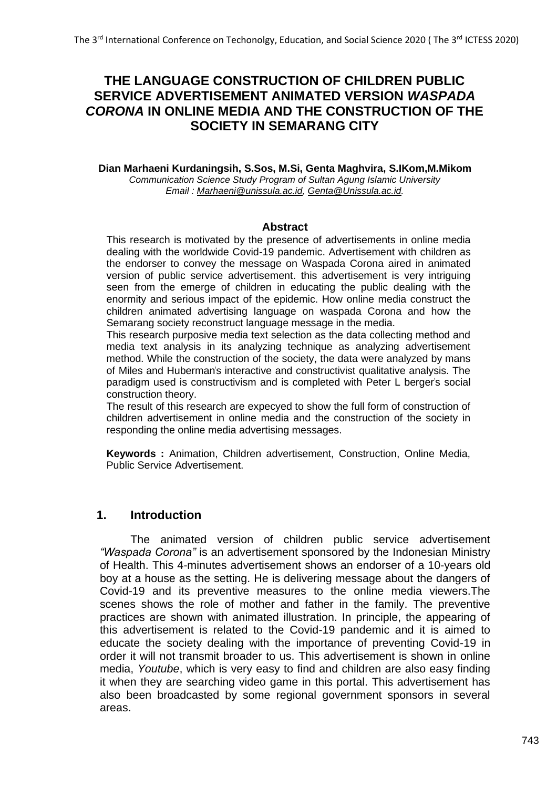# **THE LANGUAGE CONSTRUCTION OF CHILDREN PUBLIC SERVICE ADVERTISEMENT ANIMATED VERSION** *WASPADA CORONA* **IN ONLINE MEDIA AND THE CONSTRUCTION OF THE SOCIETY IN SEMARANG CITY**

**Dian Marhaeni Kurdaningsih, S.Sos, M.Si, Genta Maghvira, S.IKom,M.Mikom** *Communication Science Study Program of Sultan Agung Islamic University Email : [Marhaeni@unissula.ac.id,](mailto:Marhaeni@unissula.ac.id) [Genta@Unissula.ac.id.](mailto:Genta@Unissula.ac.id)*

#### **Abstract**

This research is motivated by the presence of advertisements in online media dealing with the worldwide Covid-19 pandemic. Advertisement with children as the endorser to convey the message on Waspada Corona aired in animated version of public service advertisement. this advertisement is very intriguing seen from the emerge of children in educating the public dealing with the enormity and serious impact of the epidemic. How online media construct the children animated advertising language on waspada Corona and how the Semarang society reconstruct language message in the media.

This research purposive media text selection as the data collecting method and media text analysis in its analyzing technique as analyzing advertisement method. While the construction of the society, the data were analyzed by mans of Miles and Huberman"s interactive and constructivist qualitative analysis. The paradigm used is constructivism and is completed with Peter L berger's social construction theory.

The result of this research are expecyed to show the full form of construction of children advertisement in online media and the construction of the society in responding the online media advertising messages.

**Keywords :** Animation, Children advertisement, Construction, Online Media, Public Service Advertisement.

### **1. Introduction**

The animated version of children public service advertisement *"Waspada Corona"* is an advertisement sponsored by the Indonesian Ministry of Health. This 4-minutes advertisement shows an endorser of a 10-years old boy at a house as the setting. He is delivering message about the dangers of Covid-19 and its preventive measures to the online media viewers.The scenes shows the role of mother and father in the family. The preventive practices are shown with animated illustration. In principle, the appearing of this advertisement is related to the Covid-19 pandemic and it is aimed to educate the society dealing with the importance of preventing Covid-19 in order it will not transmit broader to us. This advertisement is shown in online media, *Youtube*, which is very easy to find and children are also easy finding it when they are searching video game in this portal. This advertisement has also been broadcasted by some regional government sponsors in several areas.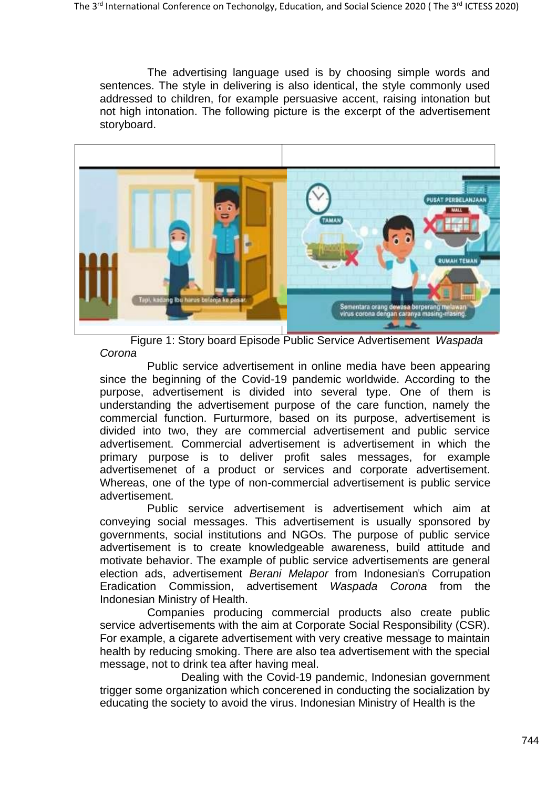The advertising language used is by choosing simple words and sentences. The style in delivering is also identical, the style commonly used addressed to children, for example persuasive accent, raising intonation but not high intonation. The following picture is the excerpt of the advertisement storyboard.



Figure 1: Story board Episode Public Service Advertisement *Waspada Corona*

Public service advertisement in online media have been appearing since the beginning of the Covid-19 pandemic worldwide. According to the purpose, advertisement is divided into several type. One of them is understanding the advertisement purpose of the care function, namely the commercial function. Furturmore, based on its purpose, advertisement is divided into two, they are commercial advertisement and public service advertisement. Commercial advertisement is advertisement in which the primary purpose is to deliver profit sales messages, for example advertisemenet of a product or services and corporate advertisement. Whereas, one of the type of non-commercial advertisement is public service advertisement.

Public service advertisement is advertisement which aim at conveying social messages. This advertisement is usually sponsored by governments, social institutions and NGOs. The purpose of public service advertisement is to create knowledgeable awareness, build attitude and motivate behavior. The example of public service advertisements are general election ads, advertisement *Berani Melapor* from Indonesian"s Corrupation Eradication Commission, advertisement *Waspada Corona* from the Indonesian Ministry of Health.

Companies producing commercial products also create public service advertisements with the aim at Corporate Social Responsibility (CSR). For example, a cigarete advertisement with very creative message to maintain health by reducing smoking. There are also tea advertisement with the special message, not to drink tea after having meal.

Dealing with the Covid-19 pandemic, Indonesian government trigger some organization which concerened in conducting the socialization by educating the society to avoid the virus. Indonesian Ministry of Health is the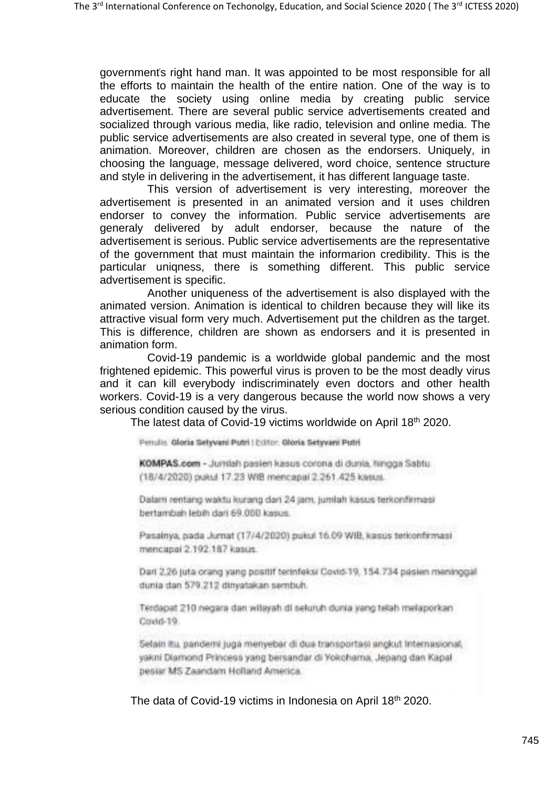government"s right hand man. It was appointed to be most responsible for all the efforts to maintain the health of the entire nation. One of the way is to educate the society using online media by creating public service advertisement. There are several public service advertisements created and socialized through various media, like radio, television and online media. The public service advertisements are also created in several type, one of them is animation. Moreover, children are chosen as the endorsers. Uniquely, in choosing the language, message delivered, word choice, sentence structure and style in delivering in the advertisement, it has different language taste.

This version of advertisement is very interesting, moreover the advertisement is presented in an animated version and it uses children endorser to convey the information. Public service advertisements are generaly delivered by adult endorser, because the nature of the advertisement is serious. Public service advertisements are the representative of the government that must maintain the informarion credibility. This is the particular uniqness, there is something different. This public service advertisement is specific.

Another uniqueness of the advertisement is also displayed with the animated version. Animation is identical to children because they will like its attractive visual form very much. Advertisement put the children as the target. This is difference, children are shown as endorsers and it is presented in animation form.

Covid-19 pandemic is a worldwide global pandemic and the most frightened epidemic. This powerful virus is proven to be the most deadly virus and it can kill everybody indiscriminately even doctors and other health workers. Covid-19 is a very dangerous because the world now shows a very serious condition caused by the virus.

The latest data of Covid-19 victims worldwide on April 18<sup>th</sup> 2020.

Penulis Gloria Selyvani Putri I Editor. Gloria Setyvani Putri

KOMPAS.com - Jurniah pasien kasus corona di dunia, hingga Sabtu (18/4/2020) роки 17.23 WiB mencapai 2.261.425 каких.

Dalam rentang waktu kurang dari 24 jam, jumlah kasus terkonfirmasi bertambah lebih dari 69.000 kasus.

Pasalnya, pada Jumat (17/4/2020) pukul 16.09 WIB, kasus terkonfirmasi mencapai 2.192.187 kasus.

Dari 2.26 juta orang yang positif terinfeksi Covid-19, 154.734 pasien meninggal dunia dan 579.212 dinyatakan sembuh.

Terdapat 210 negara dan wilayah di seluruh dunia yang telah melaporkan Covid-19

Selain itu, pandens juga menyebar di dus transportasi angkut Internasional, yakni Diamond Princess yang bersandar di Yokohama, Jepang dan Kapal pesiar MS Zaandam Holland America

The data of Covid-19 victims in Indonesia on April 18<sup>th</sup> 2020.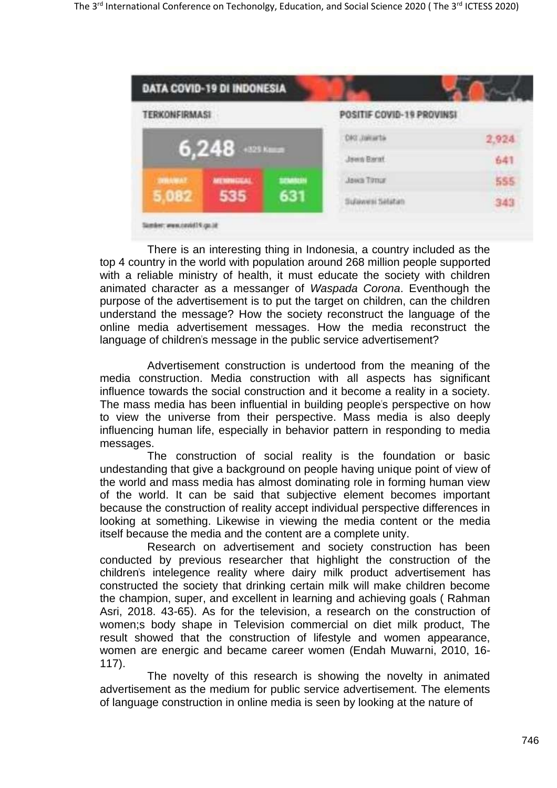

There is an interesting thing in Indonesia, a country included as the top 4 country in the world with population around 268 million people supported with a reliable ministry of health, it must educate the society with children animated character as a messanger of *Waspada Corona*. Eventhough the purpose of the advertisement is to put the target on children, can the children understand the message? How the society reconstruct the language of the online media advertisement messages. How the media reconstruct the language of children's message in the public service advertisement?

Advertisement construction is undertood from the meaning of the media construction. Media construction with all aspects has significant influence towards the social construction and it become a reality in a society. The mass media has been influential in building people"s perspective on how to view the universe from their perspective. Mass media is also deeply influencing human life, especially in behavior pattern in responding to media messages.

The construction of social reality is the foundation or basic undestanding that give a background on people having unique point of view of the world and mass media has almost dominating role in forming human view of the world. It can be said that subjective element becomes important because the construction of reality accept individual perspective differences in looking at something. Likewise in viewing the media content or the media itself because the media and the content are a complete unity.

Research on advertisement and society construction has been conducted by previous researcher that highlight the construction of the children"s intelegence reality where dairy milk product advertisement has constructed the society that drinking certain milk will make children become the champion, super, and excellent in learning and achieving goals ( Rahman Asri, 2018. 43-65). As for the television, a research on the construction of women;s body shape in Television commercial on diet milk product, The result showed that the construction of lifestyle and women appearance, women are energic and became career women (Endah Muwarni, 2010, 16- 117).

The novelty of this research is showing the novelty in animated advertisement as the medium for public service advertisement. The elements of language construction in online media is seen by looking at the nature of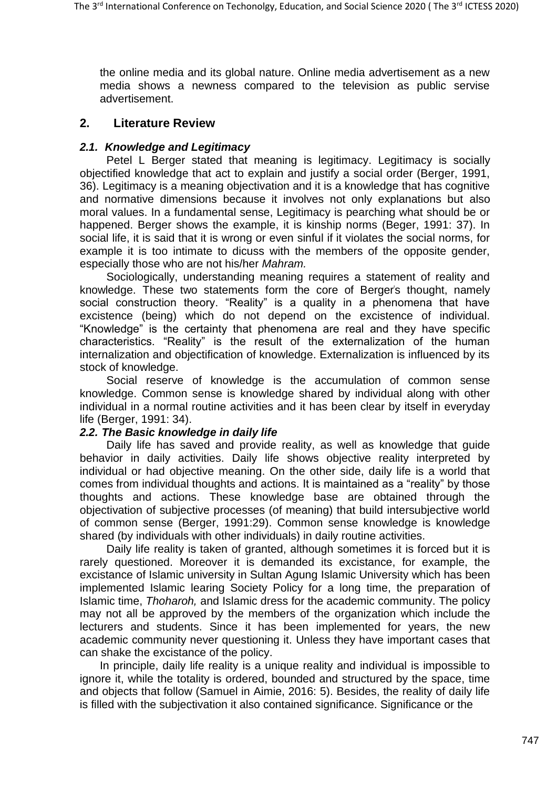the online media and its global nature. Online media advertisement as a new media shows a newness compared to the television as public servise advertisement.

### **2. Literature Review**

### *2.1. Knowledge and Legitimacy*

Petel L Berger stated that meaning is legitimacy. Legitimacy is socially objectified knowledge that act to explain and justify a social order (Berger, 1991, 36). Legitimacy is a meaning objectivation and it is a knowledge that has cognitive and normative dimensions because it involves not only explanations but also moral values. In a fundamental sense, Legitimacy is pearching what should be or happened. Berger shows the example, it is kinship norms (Beger, 1991: 37). In social life, it is said that it is wrong or even sinful if it violates the social norms, for example it is too intimate to dicuss with the members of the opposite gender, especially those who are not his/her *Mahram.*

Sociologically, understanding meaning requires a statement of reality and knowledge. These two statements form the core of Berger's thought, namely social construction theory. "Reality" is a quality in a phenomena that have excistence (being) which do not depend on the excistence of individual. "Knowledge" is the certainty that phenomena are real and they have specific characteristics. "Reality" is the result of the externalization of the human internalization and objectification of knowledge. Externalization is influenced by its stock of knowledge.

Social reserve of knowledge is the accumulation of common sense knowledge. Common sense is knowledge shared by individual along with other individual in a normal routine activities and it has been clear by itself in everyday life (Berger, 1991: 34).

### *2.2. The Basic knowledge in daily life*

Daily life has saved and provide reality, as well as knowledge that guide behavior in daily activities. Daily life shows objective reality interpreted by individual or had objective meaning. On the other side, daily life is a world that comes from individual thoughts and actions. It is maintained as a "reality" by those thoughts and actions. These knowledge base are obtained through the objectivation of subjective processes (of meaning) that build intersubjective world of common sense (Berger, 1991:29). Common sense knowledge is knowledge shared (by individuals with other individuals) in daily routine activities.

Daily life reality is taken of granted, although sometimes it is forced but it is rarely questioned. Moreover it is demanded its excistance, for example, the excistance of Islamic university in Sultan Agung Islamic University which has been implemented Islamic learing Society Policy for a long time, the preparation of Islamic time, *Thoharoh,* and Islamic dress for the academic community. The policy may not all be approved by the members of the organization which include the lecturers and students. Since it has been implemented for years, the new academic community never questioning it. Unless they have important cases that can shake the excistance of the policy.

In principle, daily life reality is a unique reality and individual is impossible to ignore it, while the totality is ordered, bounded and structured by the space, time and objects that follow (Samuel in Aimie, 2016: 5). Besides, the reality of daily life is filled with the subjectivation it also contained significance. Significance or the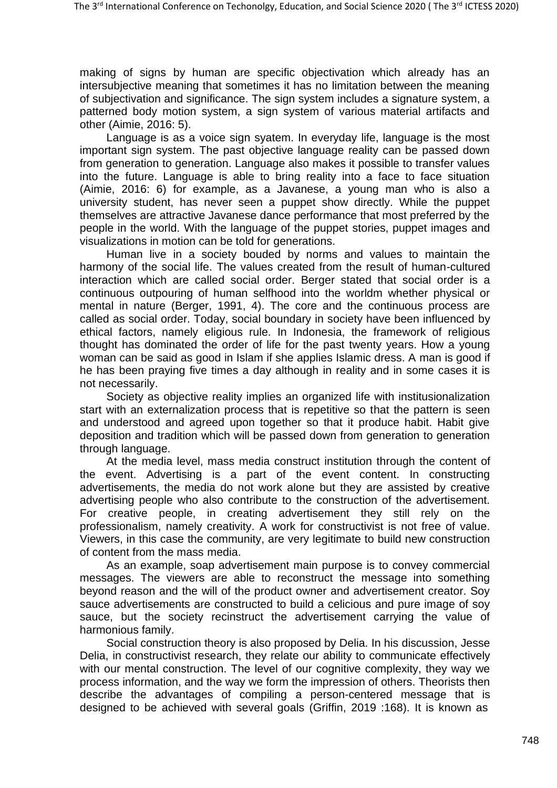making of signs by human are specific objectivation which already has an intersubjective meaning that sometimes it has no limitation between the meaning of subjectivation and significance. The sign system includes a signature system, a patterned body motion system, a sign system of various material artifacts and other (Aimie, 2016: 5).

Language is as a voice sign syatem. In everyday life, language is the most important sign system. The past objective language reality can be passed down from generation to generation. Language also makes it possible to transfer values into the future. Language is able to bring reality into a face to face situation (Aimie, 2016: 6) for example, as a Javanese, a young man who is also a university student, has never seen a puppet show directly. While the puppet themselves are attractive Javanese dance performance that most preferred by the people in the world. With the language of the puppet stories, puppet images and visualizations in motion can be told for generations.

Human live in a society bouded by norms and values to maintain the harmony of the social life. The values created from the result of human-cultured interaction which are called social order. Berger stated that social order is a continuous outpouring of human selfhood into the worldm whether physical or mental in nature (Berger, 1991, 4). The core and the continuous process are called as social order. Today, social boundary in society have been influenced by ethical factors, namely eligious rule. In Indonesia, the framework of religious thought has dominated the order of life for the past twenty years. How a young woman can be said as good in Islam if she applies Islamic dress. A man is good if he has been praying five times a day although in reality and in some cases it is not necessarily.

Society as objective reality implies an organized life with institusionalization start with an externalization process that is repetitive so that the pattern is seen and understood and agreed upon together so that it produce habit. Habit give deposition and tradition which will be passed down from generation to generation through language.

At the media level, mass media construct institution through the content of the event. Advertising is a part of the event content. In constructing advertisements, the media do not work alone but they are assisted by creative advertising people who also contribute to the construction of the advertisement. For creative people, in creating advertisement they still rely on the professionalism, namely creativity. A work for constructivist is not free of value. Viewers, in this case the community, are very legitimate to build new construction of content from the mass media.

As an example, soap advertisement main purpose is to convey commercial messages. The viewers are able to reconstruct the message into something beyond reason and the will of the product owner and advertisement creator. Soy sauce advertisements are constructed to build a celicious and pure image of soy sauce, but the society recinstruct the advertisement carrying the value of harmonious family.

Social construction theory is also proposed by Delia. In his discussion, Jesse Delia, in constructivist research, they relate our ability to communicate effectively with our mental construction. The level of our cognitive complexity, they way we process information, and the way we form the impression of others. Theorists then describe the advantages of compiling a person-centered message that is designed to be achieved with several goals (Griffin, 2019 :168). It is known as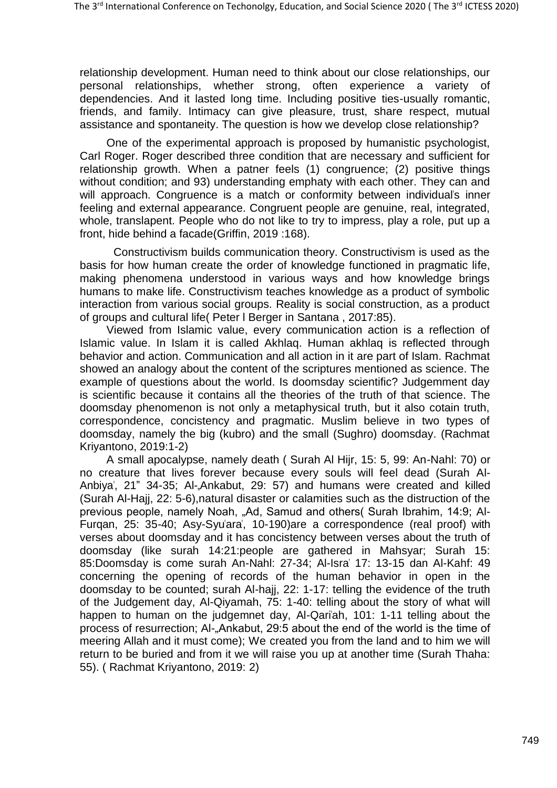relationship development. Human need to think about our close relationships, our personal relationships, whether strong, often experience a variety of dependencies. And it lasted long time. Including positive ties-usually romantic, friends, and family. Intimacy can give pleasure, trust, share respect, mutual assistance and spontaneity. The question is how we develop close relationship?

One of the experimental approach is proposed by humanistic psychologist, Carl Roger. Roger described three condition that are necessary and sufficient for relationship growth. When a patner feels (1) congruence; (2) positive things without condition; and 93) understanding emphaty with each other. They can and will approach. Congruence is a match or conformity between individual's inner feeling and external appearance. Congruent people are genuine, real, integrated, whole, translapent. People who do not like to try to impress, play a role, put up a front, hide behind a facade(Griffin, 2019 :168).

Constructivism builds communication theory. Constructivism is used as the basis for how human create the order of knowledge functioned in pragmatic life, making phenomena understood in various ways and how knowledge brings humans to make life. Constructivism teaches knowledge as a product of symbolic interaction from various social groups. Reality is social construction, as a product of groups and cultural life( Peter l Berger in Santana , 2017:85).

Viewed from Islamic value, every communication action is a reflection of Islamic value. In Islam it is called Akhlaq. Human akhlaq is reflected through behavior and action. Communication and all action in it are part of Islam. Rachmat showed an analogy about the content of the scriptures mentioned as science. The example of questions about the world. Is doomsday scientific? Judgemment day is scientific because it contains all the theories of the truth of that science. The doomsday phenomenon is not only a metaphysical truth, but it also cotain truth, correspondence, concistency and pragmatic. Muslim believe in two types of doomsday, namely the big (kubro) and the small (Sughro) doomsday. (Rachmat Kriyantono, 2019:1-2)

A small apocalypse, namely death ( Surah Al Hijr, 15: 5, 99: An-Nahl: 70) or no creature that lives forever because every souls will feel dead (Surah Al-Anbiya", 21" 34-35; Al-"Ankabut, 29: 57) and humans were created and killed (Surah Al-Hajj, 22: 5-6),natural disaster or calamities such as the distruction of the previous people, namely Noah, "Ad, Samud and others( Surah Ibrahim, 14:9; Al-Furgan, 25: 35-40; Asy-Syu'ara', 10-190)are a correspondence (real proof) with verses about doomsday and it has concistency between verses about the truth of doomsday (like surah 14:21:people are gathered in Mahsyar; Surah 15: 85:Doomsday is come surah An-Nahl: 27-34; Al-Isra" 17: 13-15 dan Al-Kahf: 49 concerning the opening of records of the human behavior in open in the doomsday to be counted; surah Al-hajj, 22: 1-17: telling the evidence of the truth of the Judgement day, Al-Qiyamah, 75: 1-40: telling about the story of what will happen to human on the judgemnet day, Al-Qari'ah, 101: 1-11 telling about the process of resurrection; AI-"Ankabut, 29:5 about the end of the world is the time of meering Allah and it must come); We created you from the land and to him we will return to be buried and from it we will raise you up at another time (Surah Thaha: 55). ( Rachmat Kriyantono, 2019: 2)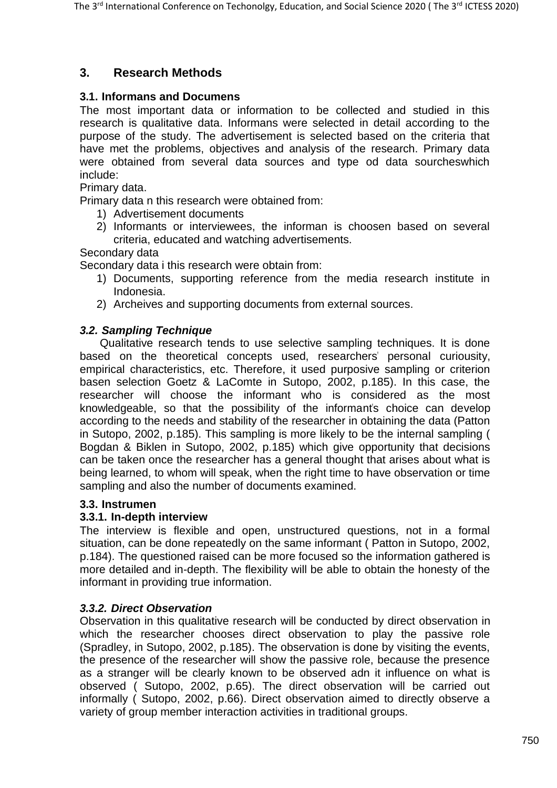# **3. Research Methods**

### **3.1. Informans and Documens**

The most important data or information to be collected and studied in this research is qualitative data. Informans were selected in detail according to the purpose of the study. The advertisement is selected based on the criteria that have met the problems, objectives and analysis of the research. Primary data were obtained from several data sources and type od data sourcheswhich include:

Primary data.

Primary data n this research were obtained from:

- 1) Advertisement documents
- 2) Informants or interviewees, the informan is choosen based on several criteria, educated and watching advertisements.

### Secondary data

Secondary data i this research were obtain from:

- 1) Documents, supporting reference from the media research institute in Indonesia.
- 2) Archeives and supporting documents from external sources.

### *3.2. Sampling Technique*

Qualitative research tends to use selective sampling techniques. It is done based on the theoretical concepts used, researchers" personal curiousity, empirical characteristics, etc. Therefore, it used purposive sampling or criterion basen selection Goetz & LaComte in Sutopo, 2002, p.185). In this case, the researcher will choose the informant who is considered as the most knowledgeable, so that the possibility of the informant's choice can develop according to the needs and stability of the researcher in obtaining the data (Patton in Sutopo, 2002, p.185). This sampling is more likely to be the internal sampling ( Bogdan & Biklen in Sutopo, 2002, p.185) which give opportunity that decisions can be taken once the researcher has a general thought that arises about what is being learned, to whom will speak, when the right time to have observation or time sampling and also the number of documents examined.

### **3.3. Instrumen**

### **3.3.1. In-depth interview**

The interview is flexible and open, unstructured questions, not in a formal situation, can be done repeatedly on the same informant ( Patton in Sutopo, 2002, p.184). The questioned raised can be more focused so the information gathered is more detailed and in-depth. The flexibility will be able to obtain the honesty of the informant in providing true information.

### *3.3.2. Direct Observation*

Observation in this qualitative research will be conducted by direct observation in which the researcher chooses direct observation to play the passive role (Spradley, in Sutopo, 2002, p.185). The observation is done by visiting the events, the presence of the researcher will show the passive role, because the presence as a stranger will be clearly known to be observed adn it influence on what is observed ( Sutopo, 2002, p.65). The direct observation will be carried out informally ( Sutopo, 2002, p.66). Direct observation aimed to directly observe a variety of group member interaction activities in traditional groups.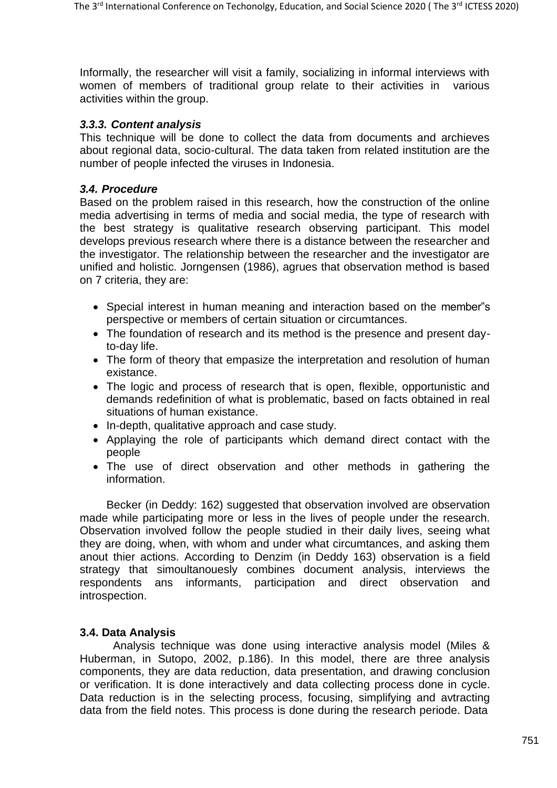Informally, the researcher will visit a family, socializing in informal interviews with women of members of traditional group relate to their activities in various activities within the group.

### *3.3.3. Content analysis*

This technique will be done to collect the data from documents and archieves about regional data, socio-cultural. The data taken from related institution are the number of people infected the viruses in Indonesia.

### *3.4. Procedure*

Based on the problem raised in this research, how the construction of the online media advertising in terms of media and social media, the type of research with the best strategy is qualitative research observing participant. This model develops previous research where there is a distance between the researcher and the investigator. The relationship between the researcher and the investigator are unified and holistic. Jorngensen (1986), agrues that observation method is based on 7 criteria, they are:

- Special interest in human meaning and interaction based on the member"s perspective or members of certain situation or circumtances.
- The foundation of research and its method is the presence and present dayto-day life.
- The form of theory that empasize the interpretation and resolution of human existance.
- The logic and process of research that is open, flexible, opportunistic and demands redefinition of what is problematic, based on facts obtained in real situations of human existance.
- In-depth, qualitative approach and case study.
- Applaying the role of participants which demand direct contact with the people
- The use of direct observation and other methods in gathering the information.

Becker (in Deddy: 162) suggested that observation involved are observation made while participating more or less in the lives of people under the research. Observation involved follow the people studied in their daily lives, seeing what they are doing, when, with whom and under what circumtances, and asking them anout thier actions. According to Denzim (in Deddy 163) observation is a field strategy that simoultanouesly combines document analysis, interviews the respondents ans informants, participation and direct observation and introspection.

### **3.4. Data Analysis**

Analysis technique was done using interactive analysis model (Miles & Huberman, in Sutopo, 2002, p.186). In this model, there are three analysis components, they are data reduction, data presentation, and drawing conclusion or verification. It is done interactively and data collecting process done in cycle. Data reduction is in the selecting process, focusing, simplifying and avtracting data from the field notes. This process is done during the research periode. Data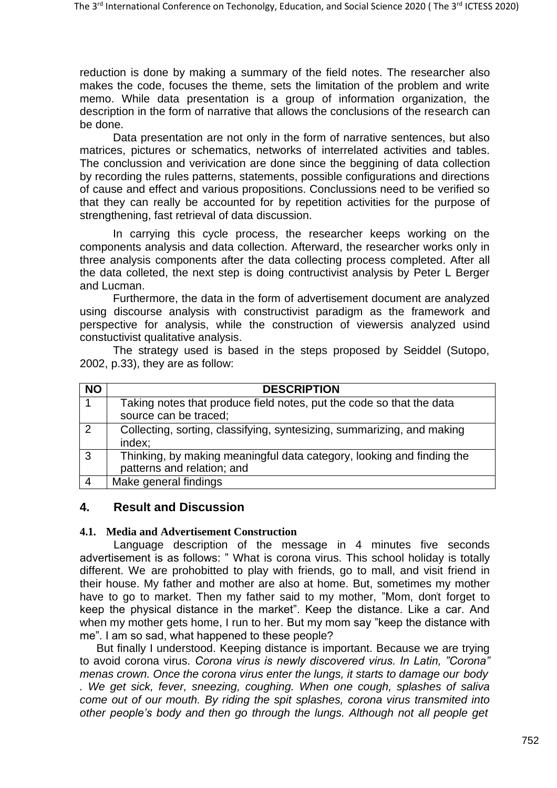reduction is done by making a summary of the field notes. The researcher also makes the code, focuses the theme, sets the limitation of the problem and write memo. While data presentation is a group of information organization, the description in the form of narrative that allows the conclusions of the research can be done.

Data presentation are not only in the form of narrative sentences, but also matrices, pictures or schematics, networks of interrelated activities and tables. The conclussion and verivication are done since the beggining of data collection by recording the rules patterns, statements, possible configurations and directions of cause and effect and various propositions. Conclussions need to be verified so that they can really be accounted for by repetition activities for the purpose of strengthening, fast retrieval of data discussion.

In carrying this cycle process, the researcher keeps working on the components analysis and data collection. Afterward, the researcher works only in three analysis components after the data collecting process completed. After all the data colleted, the next step is doing contructivist analysis by Peter L Berger and Lucman.

Furthermore, the data in the form of advertisement document are analyzed using discourse analysis with constructivist paradigm as the framework and perspective for analysis, while the construction of viewersis analyzed usind constuctivist qualitative analysis.

The strategy used is based in the steps proposed by Seiddel (Sutopo, 2002, p.33), they are as follow:

| <b>NO</b> | <b>DESCRIPTION</b>                                                                                  |
|-----------|-----------------------------------------------------------------------------------------------------|
|           | Taking notes that produce field notes, put the code so that the data<br>source can be traced;       |
|           | Collecting, sorting, classifying, syntesizing, summarizing, and making<br>index;                    |
| 3         | Thinking, by making meaningful data category, looking and finding the<br>patterns and relation; and |
| 4         | Make general findings                                                                               |

### **4. Result and Discussion**

### **4.1. Media and Advertisement Construction**

Language description of the message in 4 minutes five seconds advertisement is as follows: " What is corona virus. This school holiday is totally different. We are prohobitted to play with friends, go to mall, and visit friend in their house. My father and mother are also at home. But, sometimes my mother have to go to market. Then my father said to my mother, "Mom, don't forget to keep the physical distance in the market". Keep the distance. Like a car. And when my mother gets home, I run to her. But my mom say "keep the distance with me". I am so sad, what happened to these people?

But finally I understood. Keeping distance is important. Because we are trying to avoid corona virus*. Corona virus is newly discovered virus. In Latin, "Corona" menas crown. Once the corona virus enter the lungs, it starts to damage our body*

*. We get sick, fever, sneezing, coughing. When one cough, splashes of saliva come out of our mouth. By riding the spit splashes, corona virus transmited into other people's body and then go through the lungs. Although not all people get*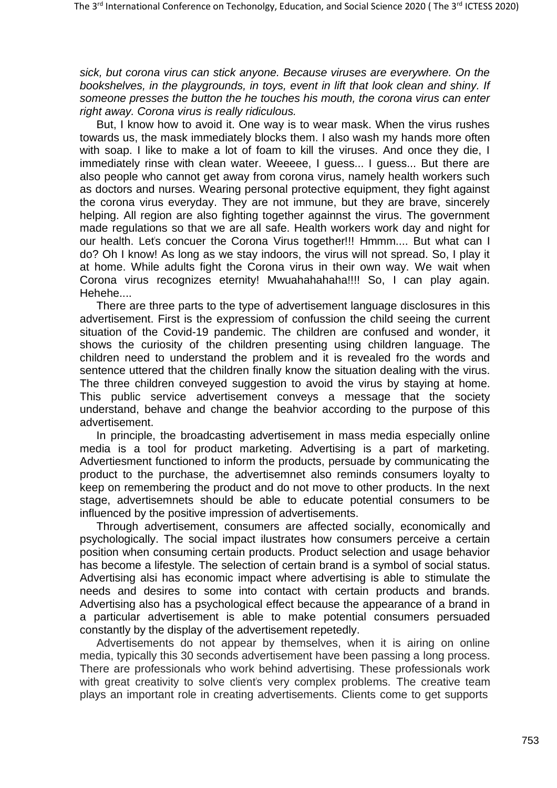*sick, but corona virus can stick anyone. Because viruses are everywhere. On the bookshelves, in the playgrounds, in toys, event in lift that look clean and shiny. If someone presses the button the he touches his mouth, the corona virus can enter right away. Corona virus is really ridiculous.*

But, I know how to avoid it. One way is to wear mask. When the virus rushes towards us, the mask immediately blocks them. I also wash my hands more often with soap. I like to make a lot of foam to kill the viruses. And once they die, I immediately rinse with clean water. Weeeee, I guess... I guess... But there are also people who cannot get away from corona virus, namely health workers such as doctors and nurses. Wearing personal protective equipment, they fight against the corona virus everyday. They are not immune, but they are brave, sincerely helping. All region are also fighting together againnst the virus. The government made regulations so that we are all safe. Health workers work day and night for our health. Let's concuer the Corona Virus together!!! Hmmm.... But what can I do? Oh I know! As long as we stay indoors, the virus will not spread. So, I play it at home. While adults fight the Corona virus in their own way. We wait when Corona virus recognizes eternity! Mwuahahahaha!!!! So, I can play again. Hehehe....

There are three parts to the type of advertisement language disclosures in this advertisement. First is the expressiom of confussion the child seeing the current situation of the Covid-19 pandemic. The children are confused and wonder, it shows the curiosity of the children presenting using children language. The children need to understand the problem and it is revealed fro the words and sentence uttered that the children finally know the situation dealing with the virus. The three children conveyed suggestion to avoid the virus by staying at home. This public service advertisement conveys a message that the society understand, behave and change the beahvior according to the purpose of this advertisement.

In principle, the broadcasting advertisement in mass media especially online media is a tool for product marketing. Advertising is a part of marketing. Advertiesment functioned to inform the products, persuade by communicating the product to the purchase, the advertisemnet also reminds consumers loyalty to keep on remembering the product and do not move to other products. In the next stage, advertisemnets should be able to educate potential consumers to be influenced by the positive impression of advertisements.

Through advertisement, consumers are affected socially, economically and psychologically. The social impact ilustrates how consumers perceive a certain position when consuming certain products. Product selection and usage behavior has become a lifestyle. The selection of certain brand is a symbol of social status. Advertising alsi has economic impact where advertising is able to stimulate the needs and desires to some into contact with certain products and brands. Advertising also has a psychological effect because the appearance of a brand in a particular advertisement is able to make potential consumers persuaded constantly by the display of the advertisement repetedly.

Advertisements do not appear by themselves, when it is airing on online media, typically this 30 seconds advertisement have been passing a long process. There are professionals who work behind advertising. These professionals work with great creativity to solve client's very complex problems. The creative team plays an important role in creating advertisements. Clients come to get supports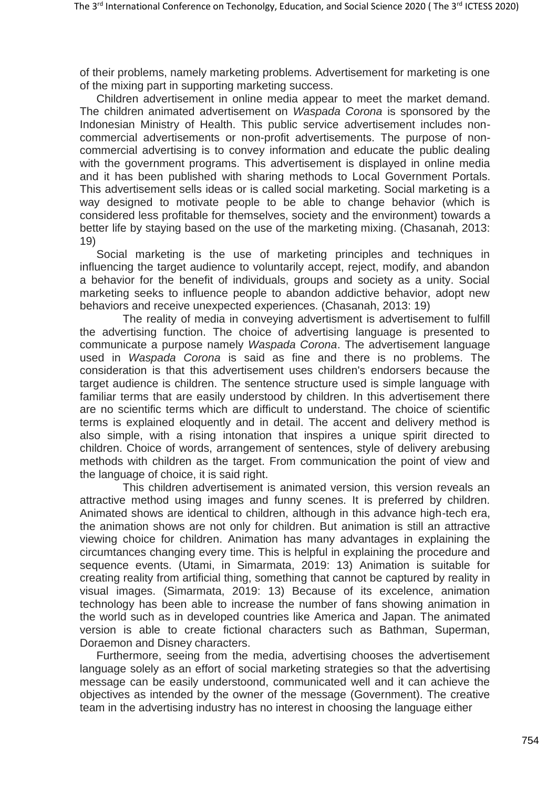of their problems, namely marketing problems. Advertisement for marketing is one of the mixing part in supporting marketing success.

Children advertisement in online media appear to meet the market demand. The children animated advertisement on *Waspada Corona* is sponsored by the Indonesian Ministry of Health. This public service advertisement includes noncommercial advertisements or non-profit advertisements. The purpose of noncommercial advertising is to convey information and educate the public dealing with the government programs. This advertisement is displayed in online media and it has been published with sharing methods to Local Government Portals. This advertisement sells ideas or is called social marketing. Social marketing is a way designed to motivate people to be able to change behavior (which is considered less profitable for themselves, society and the environment) towards a better life by staying based on the use of the marketing mixing. (Chasanah, 2013: 19)

Social marketing is the use of marketing principles and techniques in influencing the target audience to voluntarily accept, reject, modify, and abandon a behavior for the benefit of individuals, groups and society as a unity. Social marketing seeks to influence people to abandon addictive behavior, adopt new behaviors and receive unexpected experiences. (Chasanah, 2013: 19)

The reality of media in conveying advertisment is advertisement to fulfill the advertising function. The choice of advertising language is presented to communicate a purpose namely *Waspada Corona*. The advertisement language used in *Waspada Corona* is said as fine and there is no problems. The consideration is that this advertisement uses children's endorsers because the target audience is children. The sentence structure used is simple language with familiar terms that are easily understood by children. In this advertisement there are no scientific terms which are difficult to understand. The choice of scientific terms is explained eloquently and in detail. The accent and delivery method is also simple, with a rising intonation that inspires a unique spirit directed to children. Choice of words, arrangement of sentences, style of delivery arebusing methods with children as the target. From communication the point of view and the language of choice, it is said right.

This children advertisement is animated version, this version reveals an attractive method using images and funny scenes. It is preferred by children. Animated shows are identical to children, although in this advance high-tech era, the animation shows are not only for children. But animation is still an attractive viewing choice for children. Animation has many advantages in explaining the circumtances changing every time. This is helpful in explaining the procedure and sequence events. (Utami, in Simarmata, 2019: 13) Animation is suitable for creating reality from artificial thing, something that cannot be captured by reality in visual images. (Simarmata, 2019: 13) Because of its excelence, animation technology has been able to increase the number of fans showing animation in the world such as in developed countries like America and Japan. The animated version is able to create fictional characters such as Bathman, Superman, Doraemon and Disney characters.

Furthermore, seeing from the media, advertising chooses the advertisement language solely as an effort of social marketing strategies so that the advertising message can be easily understoond, communicated well and it can achieve the objectives as intended by the owner of the message (Government). The creative team in the advertising industry has no interest in choosing the language either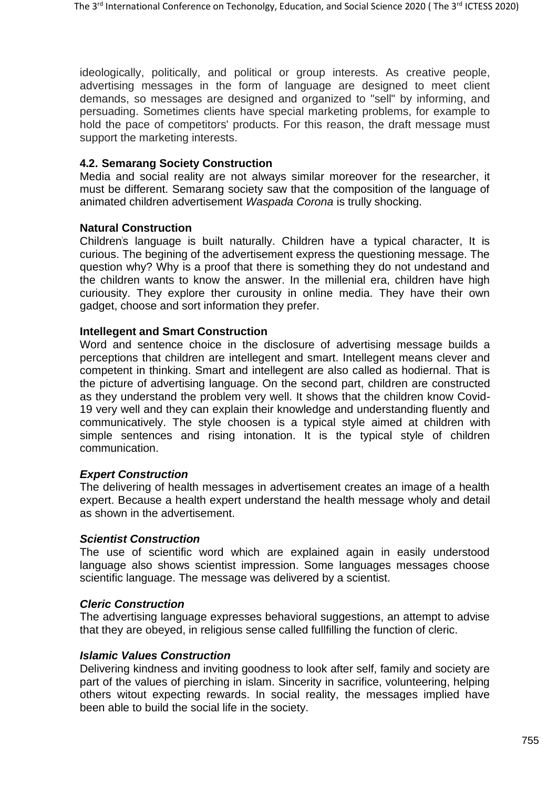ideologically, politically, and political or group interests. As creative people, advertising messages in the form of language are designed to meet client demands, so messages are designed and organized to "sell" by informing, and persuading. Sometimes clients have special marketing problems, for example to hold the pace of competitors' products. For this reason, the draft message must support the marketing interests.

### **4.2. Semarang Society Construction**

Media and social reality are not always similar moreover for the researcher, it must be different. Semarang society saw that the composition of the language of animated children advertisement *Waspada Corona* is trully shocking.

### **Natural Construction**

Children"s language is built naturally. Children have a typical character, It is curious. The begining of the advertisement express the questioning message. The question why? Why is a proof that there is something they do not undestand and the children wants to know the answer. In the millenial era, children have high curiousity. They explore ther curousity in online media. They have their own gadget, choose and sort information they prefer.

### **Intellegent and Smart Construction**

Word and sentence choice in the disclosure of advertising message builds a perceptions that children are intellegent and smart. Intellegent means clever and competent in thinking. Smart and intellegent are also called as hodiernal. That is the picture of advertising language. On the second part, children are constructed as they understand the problem very well. It shows that the children know Covid-19 very well and they can explain their knowledge and understanding fluently and communicatively. The style choosen is a typical style aimed at children with simple sentences and rising intonation. It is the typical style of children communication.

### *Expert Construction*

The delivering of health messages in advertisement creates an image of a health expert. Because a health expert understand the health message wholy and detail as shown in the advertisement.

### *Scientist Construction*

The use of scientific word which are explained again in easily understood language also shows scientist impression. Some languages messages choose scientific language. The message was delivered by a scientist.

### *Cleric Construction*

The advertising language expresses behavioral suggestions, an attempt to advise that they are obeyed, in religious sense called fullfilling the function of cleric.

### *Islamic Values Construction*

Delivering kindness and inviting goodness to look after self, family and society are part of the values of pierching in islam. Sincerity in sacrifice, volunteering, helping others witout expecting rewards. In social reality, the messages implied have been able to build the social life in the society.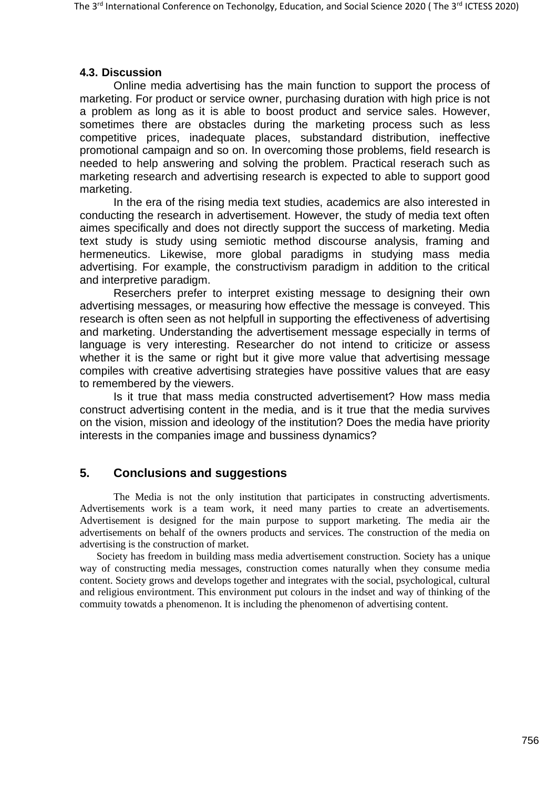### **4.3. Discussion**

Online media advertising has the main function to support the process of marketing. For product or service owner, purchasing duration with high price is not a problem as long as it is able to boost product and service sales. However, sometimes there are obstacles during the marketing process such as less competitive prices, inadequate places, substandard distribution, ineffective promotional campaign and so on. In overcoming those problems, field research is needed to help answering and solving the problem. Practical reserach such as marketing research and advertising research is expected to able to support good marketing.

In the era of the rising media text studies, academics are also interested in conducting the research in advertisement. However, the study of media text often aimes specifically and does not directly support the success of marketing. Media text study is study using semiotic method discourse analysis, framing and hermeneutics. Likewise, more global paradigms in studying mass media advertising. For example, the constructivism paradigm in addition to the critical and interpretive paradigm.

Reserchers prefer to interpret existing message to designing their own advertising messages, or measuring how effective the message is conveyed. This research is often seen as not helpfull in supporting the effectiveness of advertising and marketing. Understanding the advertisement message especially in terms of language is very interesting. Researcher do not intend to criticize or assess whether it is the same or right but it give more value that advertising message compiles with creative advertising strategies have possitive values that are easy to remembered by the viewers.

Is it true that mass media constructed advertisement? How mass media construct advertising content in the media, and is it true that the media survives on the vision, mission and ideology of the institution? Does the media have priority interests in the companies image and bussiness dynamics?

## **5. Conclusions and suggestions**

The Media is not the only institution that participates in constructing advertisments. Advertisements work is a team work, it need many parties to create an advertisements. Advertisement is designed for the main purpose to support marketing. The media air the advertisements on behalf of the owners products and services. The construction of the media on advertising is the construction of market.

Society has freedom in building mass media advertisement construction. Society has a unique way of constructing media messages, construction comes naturally when they consume media content. Society grows and develops together and integrates with the social, psychological, cultural and religious environtment. This environment put colours in the indset and way of thinking of the commuity towatds a phenomenon. It is including the phenomenon of advertising content.